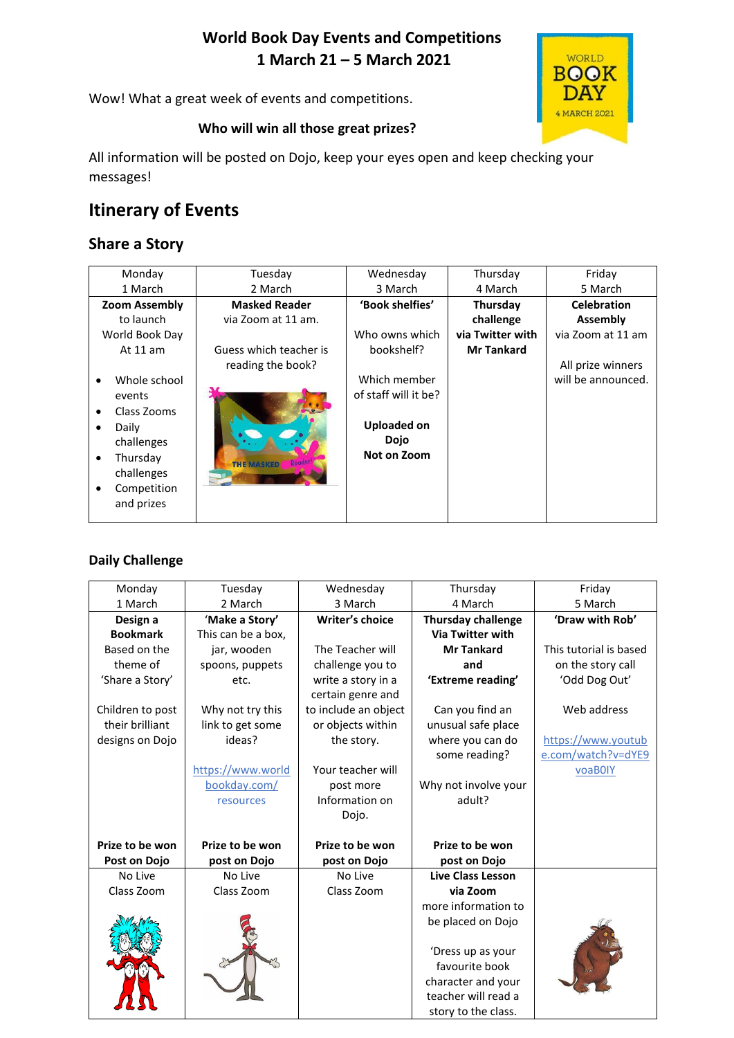# **World Book Day Events and Competitions 1 March 21 – 5 March 2021**

Wow! What a great week of events and competitions.



### **Who will win all those great prizes?**

All information will be posted on Dojo, keep your eyes open and keep checking your messages!

# **Itinerary of Events**

## **Share a Story**

| Monday                    | Tuesday                | Wednesday            | Thursday          | Friday             |
|---------------------------|------------------------|----------------------|-------------------|--------------------|
| 1 March                   | 2 March                | 3 March              | 4 March           | 5 March            |
| <b>Zoom Assembly</b>      | <b>Masked Reader</b>   | 'Book shelfies'      | Thursday          | <b>Celebration</b> |
| to launch                 | via Zoom at 11 am.     |                      | challenge         | Assembly           |
| World Book Day            |                        | Who owns which       | via Twitter with  | via Zoom at 11 am  |
| At 11 am                  | Guess which teacher is | bookshelf?           | <b>Mr Tankard</b> |                    |
|                           | reading the book?      |                      |                   | All prize winners  |
| Whole school<br>$\bullet$ |                        | Which member         |                   | will be announced. |
| events                    |                        | of staff will it be? |                   |                    |
| Class Zooms<br>$\bullet$  |                        |                      |                   |                    |
| Daily<br>$\bullet$        |                        | <b>Uploaded on</b>   |                   |                    |
| challenges                |                        | <b>Dojo</b>          |                   |                    |
| Thursday<br>$\bullet$     | <b>THE MASKED</b>      | Not on Zoom          |                   |                    |
| challenges                |                        |                      |                   |                    |
| Competition<br>$\bullet$  |                        |                      |                   |                    |
| and prizes                |                        |                      |                   |                    |
|                           |                        |                      |                   |                    |

### **Daily Challenge**

| Monday           | Tuesday            | Wednesday              | Thursday                  | Friday                 |
|------------------|--------------------|------------------------|---------------------------|------------------------|
| 1 March          | 2 March            | 3 March                | 4 March                   | 5 March                |
| Design a         | 'Make a Story'     | <b>Writer's choice</b> | <b>Thursday challenge</b> | 'Draw with Rob'        |
| <b>Bookmark</b>  | This can be a box, |                        | <b>Via Twitter with</b>   |                        |
| Based on the     | jar, wooden        | The Teacher will       | <b>Mr Tankard</b>         | This tutorial is based |
| theme of         | spoons, puppets    | challenge you to       | and                       | on the story call      |
| 'Share a Story'  | etc.               | write a story in a     | 'Extreme reading'         | 'Odd Dog Out'          |
|                  |                    | certain genre and      |                           |                        |
| Children to post | Why not try this   | to include an object   | Can you find an           | Web address            |
| their brilliant  | link to get some   | or objects within      | unusual safe place        |                        |
| designs on Dojo  | ideas?             | the story.             | where you can do          | https://www.youtub     |
|                  |                    |                        | some reading?             | e.com/watch?v=dYE9     |
|                  | https://www.world  | Your teacher will      |                           | voaB0IY                |
|                  | bookday.com/       | post more              | Why not involve your      |                        |
|                  | resources          | Information on         | adult?                    |                        |
|                  |                    | Dojo.                  |                           |                        |
|                  |                    |                        |                           |                        |
| Prize to be won  | Prize to be won    | Prize to be won        | Prize to be won           |                        |
| Post on Dojo     | post on Dojo       | post on Dojo           | post on Dojo              |                        |
| No Live          | No Live            | No Live                | <b>Live Class Lesson</b>  |                        |
| Class Zoom       | Class Zoom         | Class Zoom             | via Zoom                  |                        |
|                  |                    |                        | more information to       |                        |
|                  |                    |                        | be placed on Dojo         |                        |
|                  |                    |                        |                           |                        |
|                  |                    |                        | 'Dress up as your         |                        |
|                  |                    |                        | favourite book            |                        |
|                  |                    |                        | character and your        |                        |
|                  |                    |                        | teacher will read a       |                        |
|                  |                    |                        | story to the class.       |                        |